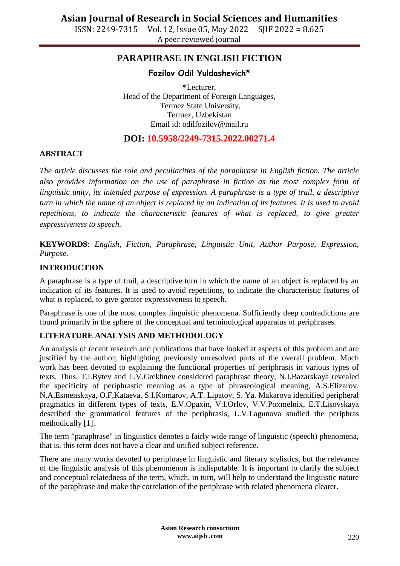ISSN: 2249-7315 Vol. 12, Issue 05, May 2022 SJIF 2022 = 8.625 A peer reviewed journal

## **PARAPHRASE IN ENGLISH FICTION**

### **Fozilov Odil Yuldashevich\***

\*Lecturer, Head of the Department of Foreign Languages, Termez State University, Termez, Uzbekistan Email id: odilfozilov@mail.ru

## **DOI: 10.5958/2249-7315.2022.00271.4**

#### **ABSTRACT**

*The article discusses the role and peculiarities of the paraphrase in English fiction. The article also provides information on the use of paraphrase in fiction as the most complex form of linguistic unity, its intended purpose of expression. A paraphrase is a type of trail, a descriptive turn in which the name of an object is replaced by an indication of its features. It is used to avoid repetitions, to indicate the characteristic features of what is replaced, to give greater expressiveness to speech.*

**KEYWORDS**: *English, Fiction, Paraphrase, Linguistic Unit, Author Purpose, Expression, Purpose.*

#### **INTRODUCTION**

A paraphrase is a type of trail, a descriptive turn in which the name of an object is replaced by an indication of its features. It is used to avoid repetitions, to indicate the characteristic features of what is replaced, to give greater expressiveness to speech.

Paraphrase is one of the most complex linguistic phenomena. Sufficiently deep contradictions are found primarily in the sphere of the conceptual and terminological apparatus of periphrases.

#### **LITERATURE ANALYSIS AND METHODOLOGY**

An analysis of recent research and publications that have looked at aspects of this problem and are justified by the author; highlighting previously unresolved parts of the overall problem. Much work has been devoted to explaining the functional properties of periphrasis in various types of texts. Thus, T.I.Bytev and L.V.Grekhnev considered paraphrase theory, N.I.Bazarskaya revealed the specificity of periphrastic meaning as a type of phraseological meaning, A.S.Elizarov, N.A.Esmenskaya, O.F.Kataeva, S.I.Komarov, A.T. Lipatov, S. Ya. Makarova identified peripheral pragmatics in different types of texts, E.V.Opaxin, V.I.Orlov, V.V.Poxmelnix, E.T.Lisovskaya described the grammatical features of the periphrasis, L.V.Lagunova studied the periphras methodically [1].

The term "paraphrase" in linguistics denotes a fairly wide range of linguistic (speech) phenomena, that is, this term does not have a clear and unified subject reference.

There are many works devoted to periphrase in linguistic and literary stylistics, but the relevance of the linguistic analysis of this phenomenon is indisputable. It is important to clarify the subject and conceptual relatedness of the term, which, in turn, will help to understand the linguistic nature of the paraphrase and make the correlation of the periphrase with related phenomena clearer.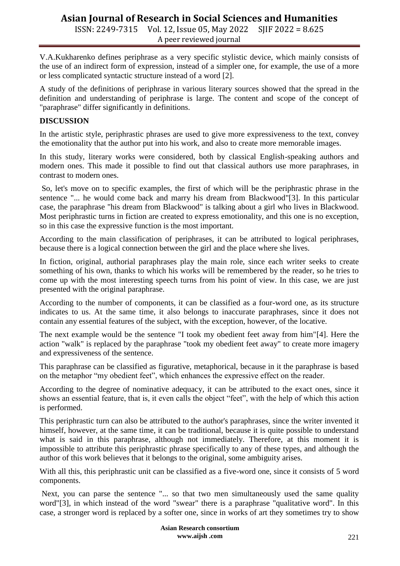ISSN: 2249-7315 Vol. 12, Issue 05, May 2022 SJIF 2022 = 8.625 A peer reviewed journal

V.A.Kukharenko defines periphrase as a very specific stylistic device, which mainly consists of the use of an indirect form of expression, instead of a simpler one, for example, the use of a more or less complicated syntactic structure instead of a word [2].

A study of the definitions of periphrase in various literary sources showed that the spread in the definition and understanding of periphrase is large. The content and scope of the concept of "paraphrase" differ significantly in definitions.

#### **DISCUSSION**

In the artistic style, periphrastic phrases are used to give more expressiveness to the text, convey the emotionality that the author put into his work, and also to create more memorable images.

In this study, literary works were considered, both by classical English-speaking authors and modern ones. This made it possible to find out that classical authors use more paraphrases, in contrast to modern ones.

So, let's move on to specific examples, the first of which will be the periphrastic phrase in the sentence "... he would come back and marry his dream from Blackwood"[3]. In this particular case, the paraphrase "his dream from Blackwood" is talking about a girl who lives in Blackwood. Most periphrastic turns in fiction are created to express emotionality, and this one is no exception, so in this case the expressive function is the most important.

According to the main classification of periphrases, it can be attributed to logical periphrases, because there is a logical connection between the girl and the place where she lives.

In fiction, original, authorial paraphrases play the main role, since each writer seeks to create something of his own, thanks to which his works will be remembered by the reader, so he tries to come up with the most interesting speech turns from his point of view. In this case, we are just presented with the original paraphrase.

According to the number of components, it can be classified as a four-word one, as its structure indicates to us. At the same time, it also belongs to inaccurate paraphrases, since it does not contain any essential features of the subject, with the exception, however, of the locative.

The next example would be the sentence "I took my obedient feet away from him"[4]. Here the action "walk" is replaced by the paraphrase "took my obedient feet away" to create more imagery and expressiveness of the sentence.

This paraphrase can be classified as figurative, metaphorical, because in it the paraphrase is based on the metaphor "my obedient feet", which enhances the expressive effect on the reader.

According to the degree of nominative adequacy, it can be attributed to the exact ones, since it shows an essential feature, that is, it even calls the object "feet", with the help of which this action is performed.

This periphrastic turn can also be attributed to the author's paraphrases, since the writer invented it himself, however, at the same time, it can be traditional, because it is quite possible to understand what is said in this paraphrase, although not immediately. Therefore, at this moment it is impossible to attribute this periphrastic phrase specifically to any of these types, and although the author of this work believes that it belongs to the original, some ambiguity arises.

With all this, this periphrastic unit can be classified as a five-word one, since it consists of 5 word components.

Next, you can parse the sentence "... so that two men simultaneously used the same quality word"[3], in which instead of the word "swear" there is a paraphrase "qualitative word". In this case, a stronger word is replaced by a softer one, since in works of art they sometimes try to show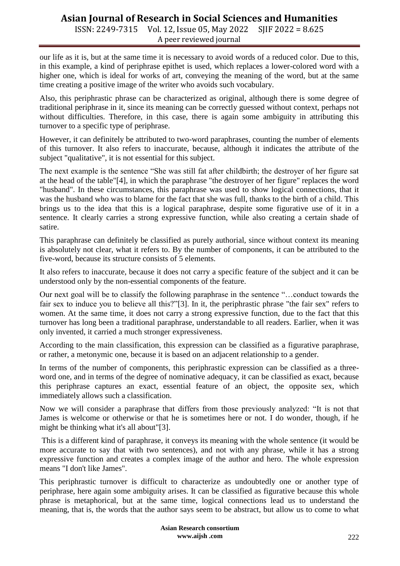ISSN: 2249-7315 Vol. 12, Issue 05, May 2022 SJIF 2022 = 8.625 A peer reviewed journal

our life as it is, but at the same time it is necessary to avoid words of a reduced color. Due to this, in this example, a kind of periphrase epithet is used, which replaces a lower-colored word with a higher one, which is ideal for works of art, conveying the meaning of the word, but at the same time creating a positive image of the writer who avoids such vocabulary.

Also, this periphrastic phrase can be characterized as original, although there is some degree of traditional periphrase in it, since its meaning can be correctly guessed without context, perhaps not without difficulties. Therefore, in this case, there is again some ambiguity in attributing this turnover to a specific type of periphrase.

However, it can definitely be attributed to two-word paraphrases, counting the number of elements of this turnover. It also refers to inaccurate, because, although it indicates the attribute of the subject "qualitative", it is not essential for this subject.

The next example is the sentence "She was still fat after childbirth; the destroyer of her figure sat at the head of the table"[4], in which the paraphrase "the destroyer of her figure" replaces the word "husband". In these circumstances, this paraphrase was used to show logical connections, that it was the husband who was to blame for the fact that she was full, thanks to the birth of a child. This brings us to the idea that this is a logical paraphrase, despite some figurative use of it in a sentence. It clearly carries a strong expressive function, while also creating a certain shade of satire.

This paraphrase can definitely be classified as purely authorial, since without context its meaning is absolutely not clear, what it refers to. By the number of components, it can be attributed to the five-word, because its structure consists of 5 elements.

It also refers to inaccurate, because it does not carry a specific feature of the subject and it can be understood only by the non-essential components of the feature.

Our next goal will be to classify the following paraphrase in the sentence "…conduct towards the fair sex to induce you to believe all this?"[3]. In it, the periphrastic phrase "the fair sex" refers to women. At the same time, it does not carry a strong expressive function, due to the fact that this turnover has long been a traditional paraphrase, understandable to all readers. Earlier, when it was only invented, it carried a much stronger expressiveness.

According to the main classification, this expression can be classified as a figurative paraphrase, or rather, a metonymic one, because it is based on an adjacent relationship to a gender.

In terms of the number of components, this periphrastic expression can be classified as a threeword one, and in terms of the degree of nominative adequacy, it can be classified as exact, because this periphrase captures an exact, essential feature of an object, the opposite sex, which immediately allows such a classification.

Now we will consider a paraphrase that differs from those previously analyzed: "It is not that James is welcome or otherwise or that he is sometimes here or not. I do wonder, though, if he might be thinking what it's all about"[3].

This is a different kind of paraphrase, it conveys its meaning with the whole sentence (it would be more accurate to say that with two sentences), and not with any phrase, while it has a strong expressive function and creates a complex image of the author and hero. The whole expression means "I don't like James".

This periphrastic turnover is difficult to characterize as undoubtedly one or another type of periphrase, here again some ambiguity arises. It can be classified as figurative because this whole phrase is metaphorical, but at the same time, logical connections lead us to understand the meaning, that is, the words that the author says seem to be abstract, but allow us to come to what

> **Asian Research consortium www.aijsh .com**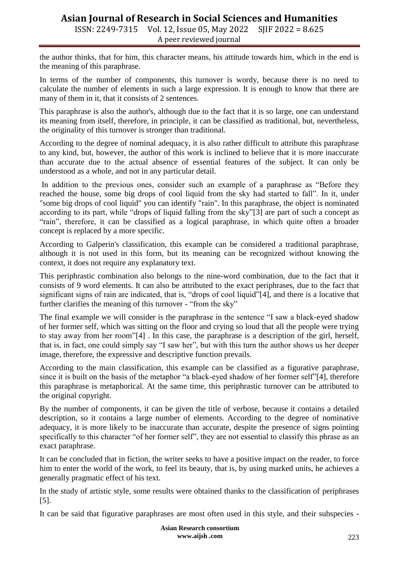ISSN: 2249-7315 Vol. 12, Issue 05, May 2022 SJIF 2022 = 8.625 A peer reviewed journal

the author thinks, that for him, this character means, his attitude towards him, which in the end is the meaning of this paraphrase.

In terms of the number of components, this turnover is wordy, because there is no need to calculate the number of elements in such a large expression. It is enough to know that there are many of them in it, that it consists of 2 sentences.

This paraphrase is also the author's, although due to the fact that it is so large, one can understand its meaning from itself, therefore, in principle, it can be classified as traditional, but, nevertheless, the originality of this turnover is stronger than traditional.

According to the degree of nominal adequacy, it is also rather difficult to attribute this paraphrase to any kind, but, however, the author of this work is inclined to believe that it is more inaccurate than accurate due to the actual absence of essential features of the subject. It can only be understood as a whole, and not in any particular detail.

In addition to the previous ones, consider such an example of a paraphrase as "Before they reached the house, some big drops of cool liquid from the sky had started to fall". In it, under "some big drops of cool liquid" you can identify "rain". In this paraphrase, the object is nominated according to its part, while "drops of liquid falling from the sky"[3] are part of such a concept as "rain", therefore, it can be classified as a logical paraphrase, in which quite often a broader concept is replaced by a more specific.

According to Galperin's classification, this example can be considered a traditional paraphrase, although it is not used in this form, but its meaning can be recognized without knowing the context, it does not require any explanatory text.

This periphrastic combination also belongs to the nine-word combination, due to the fact that it consists of 9 word elements. It can also be attributed to the exact periphrases, due to the fact that significant signs of rain are indicated, that is, "drops of cool liquid"[4], and there is a locative that further clarifies the meaning of this turnover - "from the sky"

The final example we will consider is the paraphrase in the sentence "I saw a black-eyed shadow of her former self, which was sitting on the floor and crying so loud that all the people were trying to stay away from her room"[4] . In this case, the paraphrase is a description of the girl, herself, that is, in fact, one could simply say "I saw her", but with this turn the author shows us her deeper image, therefore, the expressive and descriptive function prevails.

According to the main classification, this example can be classified as a figurative paraphrase, since it is built on the basis of the metaphor "a black-eyed shadow of her former self"[4], therefore this paraphrase is metaphorical. At the same time, this periphrastic turnover can be attributed to the original copyright.

By the number of components, it can be given the title of verbose, because it contains a detailed description, so it contains a large number of elements. According to the degree of nominative adequacy, it is more likely to be inaccurate than accurate, despite the presence of signs pointing specifically to this character "of her former self", they are not essential to classify this phrase as an exact paraphrase.

It can be concluded that in fiction, the writer seeks to have a positive impact on the reader, to force him to enter the world of the work, to feel its beauty, that is, by using marked units, he achieves a generally pragmatic effect of his text.

In the study of artistic style, some results were obtained thanks to the classification of periphrases [5].

It can be said that figurative paraphrases are most often used in this style, and their subspecies -

**Asian Research consortium www.aijsh .com**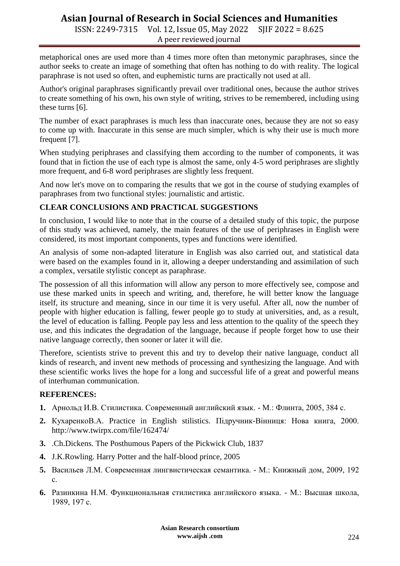ISSN: 2249-7315 Vol. 12, Issue 05, May 2022 SJIF 2022 = 8.625 A peer reviewed journal

metaphorical ones are used more than 4 times more often than metonymic paraphrases, since the author seeks to create an image of something that often has nothing to do with reality. The logical paraphrase is not used so often, and euphemistic turns are practically not used at all.

Author's original paraphrases significantly prevail over traditional ones, because the author strives to create something of his own, his own style of writing, strives to be remembered, including using these turns [6].

The number of exact paraphrases is much less than inaccurate ones, because they are not so easy to come up with. Inaccurate in this sense are much simpler, which is why their use is much more frequent [7].

When studying periphrases and classifying them according to the number of components, it was found that in fiction the use of each type is almost the same, only 4-5 word periphrases are slightly more frequent, and 6-8 word periphrases are slightly less frequent.

And now let's move on to comparing the results that we got in the course of studying examples of paraphrases from two functional styles: journalistic and artistic.

## **CLEAR CONCLUSIONS AND PRACTICAL SUGGESTIONS**

In conclusion, I would like to note that in the course of a detailed study of this topic, the purpose of this study was achieved, namely, the main features of the use of periphrases in English were considered, its most important components, types and functions were identified.

An analysis of some non-adapted literature in English was also carried out, and statistical data were based on the examples found in it, allowing a deeper understanding and assimilation of such a complex, versatile stylistic concept as paraphrase.

The possession of all this information will allow any person to more effectively see, compose and use these marked units in speech and writing, and, therefore, he will better know the language itself, its structure and meaning, since in our time it is very useful. After all, now the number of people with higher education is falling, fewer people go to study at universities, and, as a result, the level of education is falling. People pay less and less attention to the quality of the speech they use, and this indicates the degradation of the language, because if people forget how to use their native language correctly, then sooner or later it will die.

Therefore, scientists strive to prevent this and try to develop their native language, conduct all kinds of research, and invent new methods of processing and synthesizing the language. And with these scientific works lives the hope for a long and successful life of a great and powerful means of interhuman communication.

## **REFERENCES:**

- **1.** Арнольд И.В. Стилистика. Современный английский язык. М.: Флинта, 2005, 384 с.
- **2.** КухаренкоВ.А. Practice in English stilistics. Пiдручник-Вiнниця: Нова книга, 2000. http://www.twirpx.com/file/162474/
- **3.** .Ch.Dickens. The Posthumous Papers of the Pickwick Club, 1837
- **4.** J.K.Rowling. Harry Potter and the half-blood prince, 2005
- **5.** Васильев Л.М. Современная лингвистическая семантика. М.: Книжный дом, 2009, 192 с.
- **6.** Разинкина Н.М. Функциональная стилистика английского языка. М.: Высшая школа, 1989, 197 с.